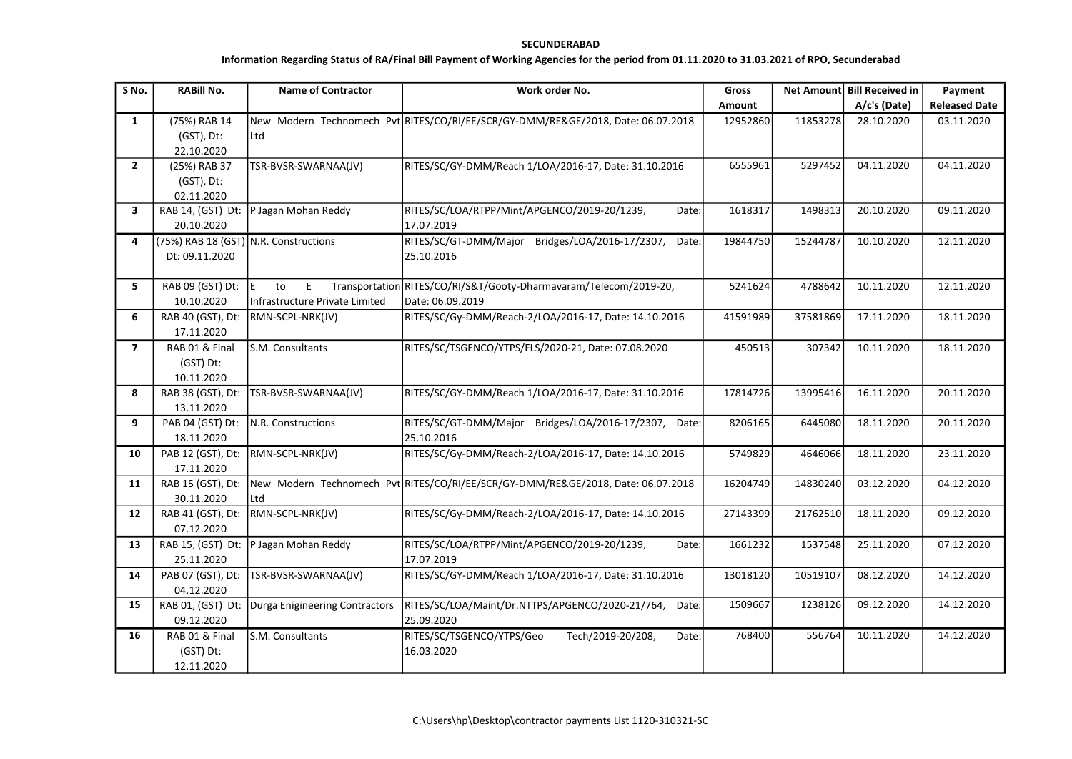## SECUNDERABAD

## Information Regarding Status of RA/Final Bill Payment of Working Agencies for the period from 01.11.2020 to 31.03.2021 of RPO, Secunderabad

| SNO.           | <b>RABill No.</b>                                       | <b>Name of Contractor</b>                         | Work order No.                                                                        | <b>Gross</b> |          | Net Amount Bill Received in | Payment              |
|----------------|---------------------------------------------------------|---------------------------------------------------|---------------------------------------------------------------------------------------|--------------|----------|-----------------------------|----------------------|
|                |                                                         |                                                   |                                                                                       | Amount       |          | A/c's (Date)                | <b>Released Date</b> |
| $\mathbf{1}$   | (75%) RAB 14<br>(GST), Dt:<br>22.10.2020                | Ltd                                               | New Modern Technomech Pvt RITES/CO/RI/EE/SCR/GY-DMM/RE&GE/2018, Date: 06.07.2018      | 12952860     | 11853278 | 28.10.2020                  | 03.11.2020           |
| $\mathbf{2}$   | (25%) RAB 37<br>(GST), Dt:<br>02.11.2020                | TSR-BVSR-SWARNAA(JV)                              | RITES/SC/GY-DMM/Reach 1/LOA/2016-17, Date: 31.10.2016                                 | 6555961      | 5297452  | 04.11.2020                  | 04.11.2020           |
| 3              | RAB 14, (GST) Dt:<br>20.10.2020                         | P Jagan Mohan Reddy                               | RITES/SC/LOA/RTPP/Mint/APGENCO/2019-20/1239,<br>Date:<br>17.07.2019                   | 1618317      | 1498313  | 20.10.2020                  | 09.11.2020           |
| 4              | (75%) RAB 18 (GST) N.R. Constructions<br>Dt: 09.11.2020 |                                                   | RITES/SC/GT-DMM/Major Bridges/LOA/2016-17/2307, Date:<br>25.10.2016                   | 19844750     | 15244787 | 10.10.2020                  | 12.11.2020           |
| 5              | RAB 09 (GST) Dt:<br>10.10.2020                          | IE.<br>to<br>E.<br>Infrastructure Private Limited | Transportation RITES/CO/RI/S&T/Gooty-Dharmavaram/Telecom/2019-20,<br>Date: 06.09.2019 | 5241624      | 4788642  | 10.11.2020                  | 12.11.2020           |
| 6              | RAB 40 (GST), Dt:<br>17.11.2020                         | RMN-SCPL-NRK(JV)                                  | RITES/SC/Gy-DMM/Reach-2/LOA/2016-17, Date: 14.10.2016                                 | 41591989     | 37581869 | 17.11.2020                  | 18.11.2020           |
| $\overline{ }$ | RAB 01 & Final<br>$(GST)$ Dt:<br>10.11.2020             | S.M. Consultants                                  | RITES/SC/TSGENCO/YTPS/FLS/2020-21, Date: 07.08.2020                                   | 450513       | 307342   | 10.11.2020                  | 18.11.2020           |
| 8              | RAB 38 (GST), Dt:<br>13.11.2020                         | TSR-BVSR-SWARNAA(JV)                              | RITES/SC/GY-DMM/Reach 1/LOA/2016-17, Date: 31.10.2016                                 | 17814726     | 13995416 | 16.11.2020                  | 20.11.2020           |
| 9              | PAB 04 (GST) Dt:<br>18.11.2020                          | N.R. Constructions                                | RITES/SC/GT-DMM/Major Bridges/LOA/2016-17/2307, Date:<br>25.10.2016                   | 8206165      | 6445080  | 18.11.2020                  | 20.11.2020           |
| 10             | PAB 12 (GST), Dt:<br>17.11.2020                         | RMN-SCPL-NRK(JV)                                  | RITES/SC/Gy-DMM/Reach-2/LOA/2016-17, Date: 14.10.2016                                 | 5749829      | 4646066  | 18.11.2020                  | 23.11.2020           |
| 11             | RAB 15 (GST), Dt:<br>30.11.2020                         | Ltd                                               | New Modern Technomech Pvt RITES/CO/RI/EE/SCR/GY-DMM/RE&GE/2018, Date: 06.07.2018      | 16204749     | 14830240 | 03.12.2020                  | 04.12.2020           |
| 12             | RAB 41 (GST), Dt:<br>07.12.2020                         | RMN-SCPL-NRK(JV)                                  | RITES/SC/Gy-DMM/Reach-2/LOA/2016-17, Date: 14.10.2016                                 | 27143399     | 21762510 | 18.11.2020                  | 09.12.2020           |
| 13             | RAB 15, (GST) Dt:<br>25.11.2020                         | P Jagan Mohan Reddy                               | RITES/SC/LOA/RTPP/Mint/APGENCO/2019-20/1239,<br>Date:<br>17.07.2019                   | 1661232      | 1537548  | 25.11.2020                  | 07.12.2020           |
| 14             | PAB 07 (GST), Dt:<br>04.12.2020                         | TSR-BVSR-SWARNAA(JV)                              | RITES/SC/GY-DMM/Reach 1/LOA/2016-17, Date: 31.10.2016                                 | 13018120     | 10519107 | 08.12.2020                  | 14.12.2020           |
| 15             | RAB 01, (GST) Dt:<br>09.12.2020                         | Durga Enigineering Contractors                    | RITES/SC/LOA/Maint/Dr.NTTPS/APGENCO/2020-21/764, Date:<br>25.09.2020                  | 1509667      | 1238126  | 09.12.2020                  | 14.12.2020           |
| 16             | RAB 01 & Final<br>(GST) Dt:<br>12.11.2020               | S.M. Consultants                                  | Tech/2019-20/208,<br>RITES/SC/TSGENCO/YTPS/Geo<br>Date:<br>16.03.2020                 | 768400       | 556764   | 10.11.2020                  | 14.12.2020           |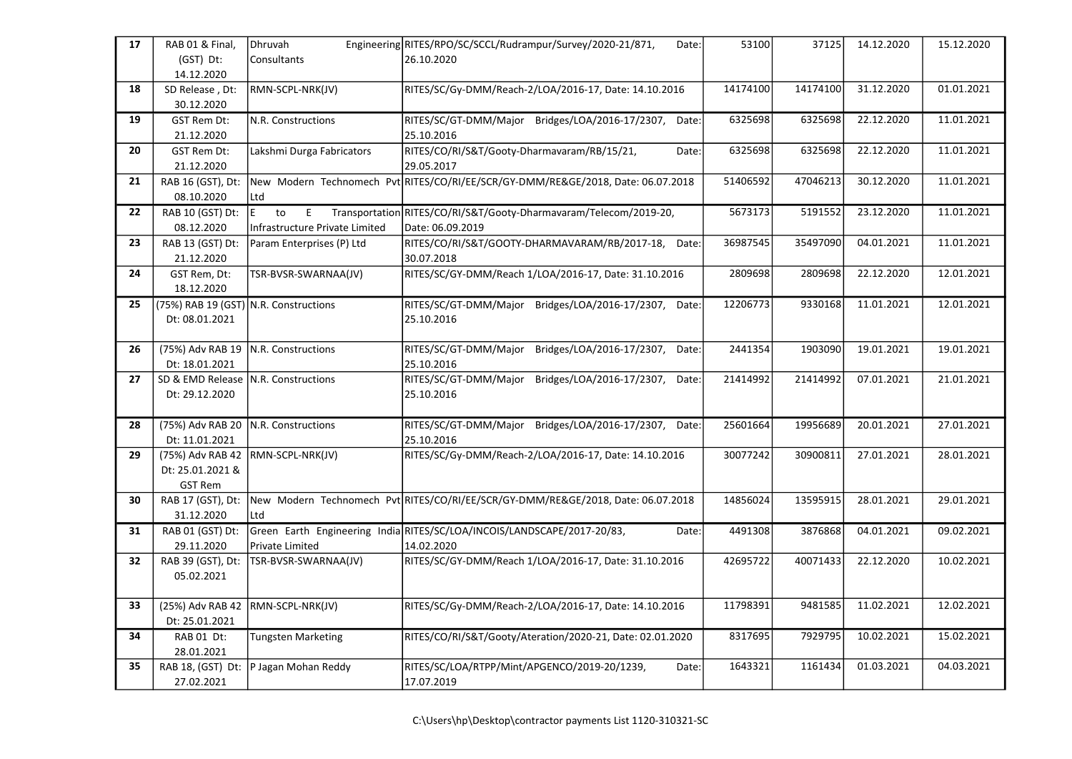| 17 | RAB 01 & Final,                       | Dhruvah                               | Engineering RITES/RPO/SC/SCCL/Rudrampur/Survey/2020-21/871,<br>Date:                           | 53100    | 37125    | 14.12.2020 | 15.12.2020 |
|----|---------------------------------------|---------------------------------------|------------------------------------------------------------------------------------------------|----------|----------|------------|------------|
|    | (GST) Dt:                             | Consultants                           | 26.10.2020                                                                                     |          |          |            |            |
|    | 14.12.2020                            |                                       | RITES/SC/Gy-DMM/Reach-2/LOA/2016-17, Date: 14.10.2016                                          |          |          | 31.12.2020 | 01.01.2021 |
| 18 | SD Release, Dt:<br>30.12.2020         | RMN-SCPL-NRK(JV)                      |                                                                                                | 14174100 | 14174100 |            |            |
| 19 | GST Rem Dt:                           | N.R. Constructions                    | RITES/SC/GT-DMM/Major Bridges/LOA/2016-17/2307, Date:                                          | 6325698  | 6325698  | 22.12.2020 | 11.01.2021 |
|    | 21.12.2020                            |                                       | 25.10.2016                                                                                     |          |          |            |            |
| 20 | GST Rem Dt:                           | Lakshmi Durga Fabricators             | RITES/CO/RI/S&T/Gooty-Dharmavaram/RB/15/21,<br>Date:                                           | 6325698  | 6325698  | 22.12.2020 | 11.01.2021 |
|    | 21.12.2020                            |                                       | 29.05.2017                                                                                     |          |          |            |            |
| 21 | RAB 16 (GST), Dt:                     |                                       | New Modern Technomech Pvt RITES/CO/RI/EE/SCR/GY-DMM/RE&GE/2018, Date: 06.07.2018               | 51406592 | 47046213 | 30.12.2020 | 11.01.2021 |
|    | 08.10.2020                            | Ltd                                   |                                                                                                |          |          |            |            |
| 22 | RAB 10 (GST) Dt:                      | IE.<br>to<br>E                        | Transportation RITES/CO/RI/S&T/Gooty-Dharmavaram/Telecom/2019-20,                              | 5673173  | 5191552  | 23.12.2020 | 11.01.2021 |
|    | 08.12.2020                            | Infrastructure Private Limited        | Date: 06.09.2019                                                                               |          |          |            |            |
| 23 | RAB 13 (GST) Dt:                      | Param Enterprises (P) Ltd             | RITES/CO/RI/S&T/GOOTY-DHARMAVARAM/RB/2017-18, Date:                                            | 36987545 | 35497090 | 04.01.2021 | 11.01.2021 |
|    | 21.12.2020                            |                                       | 30.07.2018                                                                                     |          |          |            |            |
| 24 | GST Rem, Dt:                          | TSR-BVSR-SWARNAA(JV)                  | RITES/SC/GY-DMM/Reach 1/LOA/2016-17, Date: 31.10.2016                                          | 2809698  | 2809698  | 22.12.2020 | 12.01.2021 |
|    | 18.12.2020                            |                                       |                                                                                                |          |          |            |            |
| 25 | (75%) RAB 19 (GST) N.R. Constructions |                                       | RITES/SC/GT-DMM/Major Bridges/LOA/2016-17/2307, Date:                                          | 12206773 | 9330168  | 11.01.2021 | 12.01.2021 |
|    | Dt: 08.01.2021                        |                                       | 25.10.2016                                                                                     |          |          |            |            |
|    |                                       | (75%) Adv RAB 19   N.R. Constructions | RITES/SC/GT-DMM/Major<br>Bridges/LOA/2016-17/2307, Date:                                       | 2441354  | 1903090  | 19.01.2021 | 19.01.2021 |
| 26 | Dt: 18.01.2021                        |                                       | 25.10.2016                                                                                     |          |          |            |            |
| 27 |                                       | SD & EMD Release N.R. Constructions   | RITES/SC/GT-DMM/Major Bridges/LOA/2016-17/2307, Date:                                          | 21414992 | 21414992 | 07.01.2021 | 21.01.2021 |
|    | Dt: 29.12.2020                        |                                       | 25.10.2016                                                                                     |          |          |            |            |
|    |                                       |                                       |                                                                                                |          |          |            |            |
| 28 |                                       | (75%) Adv RAB 20   N.R. Constructions | RITES/SC/GT-DMM/Major Bridges/LOA/2016-17/2307, Date:                                          | 25601664 | 19956689 | 20.01.2021 | 27.01.2021 |
|    | Dt: 11.01.2021                        |                                       | 25.10.2016                                                                                     |          |          |            |            |
| 29 | (75%) Adv RAB 42                      | RMN-SCPL-NRK(JV)                      | RITES/SC/Gy-DMM/Reach-2/LOA/2016-17, Date: 14.10.2016                                          | 30077242 | 30900811 | 27.01.2021 | 28.01.2021 |
|    | Dt: 25.01.2021 &                      |                                       |                                                                                                |          |          |            |            |
|    | <b>GST Rem</b>                        |                                       |                                                                                                |          |          |            |            |
| 30 | RAB 17 (GST), Dt:                     |                                       | New Modern Technomech Pvt RITES/CO/RI/EE/SCR/GY-DMM/RE&GE/2018, Date: 06.07.2018               | 14856024 | 13595915 | 28.01.2021 | 29.01.2021 |
|    | 31.12.2020                            | Ltd                                   |                                                                                                |          |          |            |            |
| 31 | RAB 01 (GST) Dt:<br>29.11.2020        | Private Limited                       | Green Earth Engineering India RITES/SC/LOA/INCOIS/LANDSCAPE/2017-20/83,<br>Date:<br>14.02.2020 | 4491308  | 3876868  | 04.01.2021 | 09.02.2021 |
| 32 | RAB 39 (GST), Dt:                     | TSR-BVSR-SWARNAA(JV)                  | RITES/SC/GY-DMM/Reach 1/LOA/2016-17, Date: 31.10.2016                                          | 42695722 | 40071433 | 22.12.2020 | 10.02.2021 |
|    | 05.02.2021                            |                                       |                                                                                                |          |          |            |            |
|    |                                       |                                       |                                                                                                |          |          |            |            |
| 33 |                                       | (25%) Adv RAB 42  RMN-SCPL-NRK(JV)    | RITES/SC/Gy-DMM/Reach-2/LOA/2016-17, Date: 14.10.2016                                          | 11798391 | 9481585  | 11.02.2021 | 12.02.2021 |
|    | Dt: 25.01.2021                        |                                       |                                                                                                |          |          |            |            |
| 34 | RAB 01 Dt:                            | <b>Tungsten Marketing</b>             | RITES/CO/RI/S&T/Gooty/Ateration/2020-21, Date: 02.01.2020                                      | 8317695  | 7929795  | 10.02.2021 | 15.02.2021 |
|    | 28.01.2021                            |                                       |                                                                                                |          |          |            |            |
| 35 |                                       | RAB 18, (GST) Dt: P Jagan Mohan Reddy | RITES/SC/LOA/RTPP/Mint/APGENCO/2019-20/1239,<br>Date:                                          | 1643321  | 1161434  | 01.03.2021 | 04.03.2021 |
|    | 27.02.2021                            |                                       | 17.07.2019                                                                                     |          |          |            |            |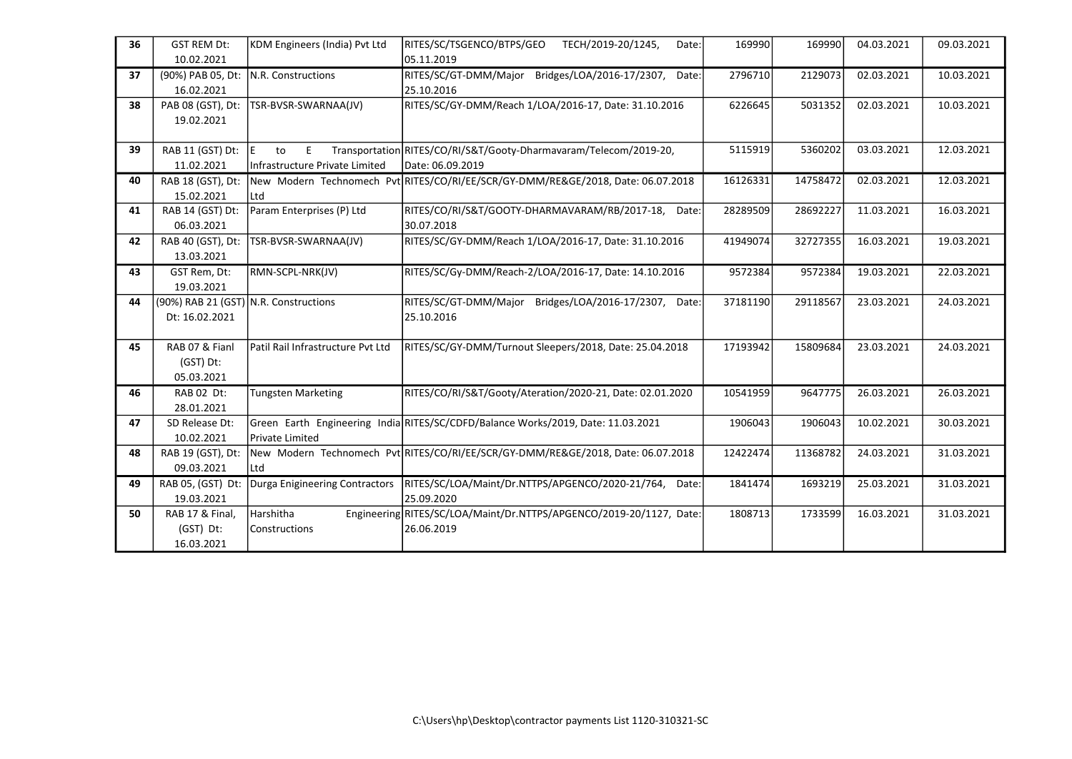| 36 | <b>GST REM Dt:</b>                    | KDM Engineers (India) Pvt Ltd     | RITES/SC/TSGENCO/BTPS/GEO<br>TECH/2019-20/1245,<br>Date:                         | 169990   | 169990   | 04.03.2021 | 09.03.2021 |
|----|---------------------------------------|-----------------------------------|----------------------------------------------------------------------------------|----------|----------|------------|------------|
|    | 10.02.2021                            |                                   | 05.11.2019                                                                       |          |          |            |            |
| 37 | (90%) PAB 05, Dt:                     | N.R. Constructions                | RITES/SC/GT-DMM/Major Bridges/LOA/2016-17/2307,<br>Date:                         | 2796710  | 2129073  | 02.03.2021 | 10.03.2021 |
|    | 16.02.2021                            |                                   | 25.10.2016                                                                       |          |          |            |            |
| 38 | PAB 08 (GST), Dt:                     | TSR-BVSR-SWARNAA(JV)              | RITES/SC/GY-DMM/Reach 1/LOA/2016-17, Date: 31.10.2016                            | 6226645  | 5031352  | 02.03.2021 | 10.03.2021 |
|    | 19.02.2021                            |                                   |                                                                                  |          |          |            |            |
|    |                                       |                                   |                                                                                  |          |          |            |            |
| 39 | RAB 11 (GST) Dt:                      | E.<br>IE.<br>to                   | Transportation RITES/CO/RI/S&T/Gooty-Dharmavaram/Telecom/2019-20,                | 5115919  | 5360202  | 03.03.2021 | 12.03.2021 |
|    | 11.02.2021                            | Infrastructure Private Limited    | Date: 06.09.2019                                                                 |          |          |            |            |
| 40 | RAB 18 (GST), Dt:                     |                                   | New Modern Technomech Pvt RITES/CO/RI/EE/SCR/GY-DMM/RE&GE/2018, Date: 06.07.2018 | 16126331 | 14758472 | 02.03.2021 | 12.03.2021 |
|    | 15.02.2021                            | Ltd                               |                                                                                  |          |          |            |            |
| 41 | RAB 14 (GST) Dt:                      | Param Enterprises (P) Ltd         | RITES/CO/RI/S&T/GOOTY-DHARMAVARAM/RB/2017-18,<br>Date:                           | 28289509 | 28692227 | 11.03.2021 | 16.03.2021 |
|    | 06.03.2021                            |                                   | 30.07.2018                                                                       |          |          |            |            |
| 42 | RAB 40 (GST), Dt:                     | TSR-BVSR-SWARNAA(JV)              | RITES/SC/GY-DMM/Reach 1/LOA/2016-17, Date: 31.10.2016                            | 41949074 | 32727355 | 16.03.2021 | 19.03.2021 |
|    | 13.03.2021                            |                                   |                                                                                  |          |          |            |            |
| 43 | GST Rem, Dt:                          | RMN-SCPL-NRK(JV)                  | RITES/SC/Gy-DMM/Reach-2/LOA/2016-17, Date: 14.10.2016                            | 9572384  | 9572384  | 19.03.2021 | 22.03.2021 |
|    | 19.03.2021                            |                                   |                                                                                  |          |          |            |            |
| 44 | (90%) RAB 21 (GST) N.R. Constructions |                                   | RITES/SC/GT-DMM/Major Bridges/LOA/2016-17/2307,<br>Date:                         | 37181190 | 29118567 | 23.03.2021 | 24.03.2021 |
|    | Dt: 16.02.2021                        |                                   | 25.10.2016                                                                       |          |          |            |            |
|    |                                       |                                   |                                                                                  |          |          |            |            |
| 45 | RAB 07 & Fianl                        | Patil Rail Infrastructure Pvt Ltd | RITES/SC/GY-DMM/Turnout Sleepers/2018, Date: 25.04.2018                          | 17193942 | 15809684 | 23.03.2021 | 24.03.2021 |
|    | (GST) Dt:                             |                                   |                                                                                  |          |          |            |            |
|    | 05.03.2021                            |                                   |                                                                                  |          |          |            |            |
| 46 | RAB 02 Dt:                            | <b>Tungsten Marketing</b>         | RITES/CO/RI/S&T/Gooty/Ateration/2020-21, Date: 02.01.2020                        | 10541959 | 9647775  | 26.03.2021 | 26.03.2021 |
|    | 28.01.2021                            |                                   |                                                                                  |          |          |            |            |
| 47 | SD Release Dt:                        |                                   | Green Earth Engineering India RITES/SC/CDFD/Balance Works/2019, Date: 11.03.2021 | 1906043  | 1906043  | 10.02.2021 | 30.03.2021 |
|    | 10.02.2021                            | Private Limited                   |                                                                                  |          |          |            |            |
| 48 | RAB 19 (GST), Dt:                     |                                   | New Modern Technomech Pvt RITES/CO/RI/EE/SCR/GY-DMM/RE&GE/2018, Date: 06.07.2018 | 12422474 | 11368782 | 24.03.2021 | 31.03.2021 |
|    | 09.03.2021                            | Ltd                               |                                                                                  |          |          |            |            |
| 49 | RAB 05, (GST) Dt:                     | Durga Enigineering Contractors    | RITES/SC/LOA/Maint/Dr.NTTPS/APGENCO/2020-21/764,<br>Date:                        | 1841474  | 1693219  | 25.03.2021 | 31.03.2021 |
|    | 19.03.2021                            |                                   | 25.09.2020                                                                       |          |          |            |            |
| 50 | RAB 17 & Final,                       | Harshitha                         | Engineering RITES/SC/LOA/Maint/Dr.NTTPS/APGENCO/2019-20/1127, Date:              | 1808713  | 1733599  | 16.03.2021 | 31.03.2021 |
|    | (GST) Dt:                             | Constructions                     | 26.06.2019                                                                       |          |          |            |            |
|    | 16.03.2021                            |                                   |                                                                                  |          |          |            |            |